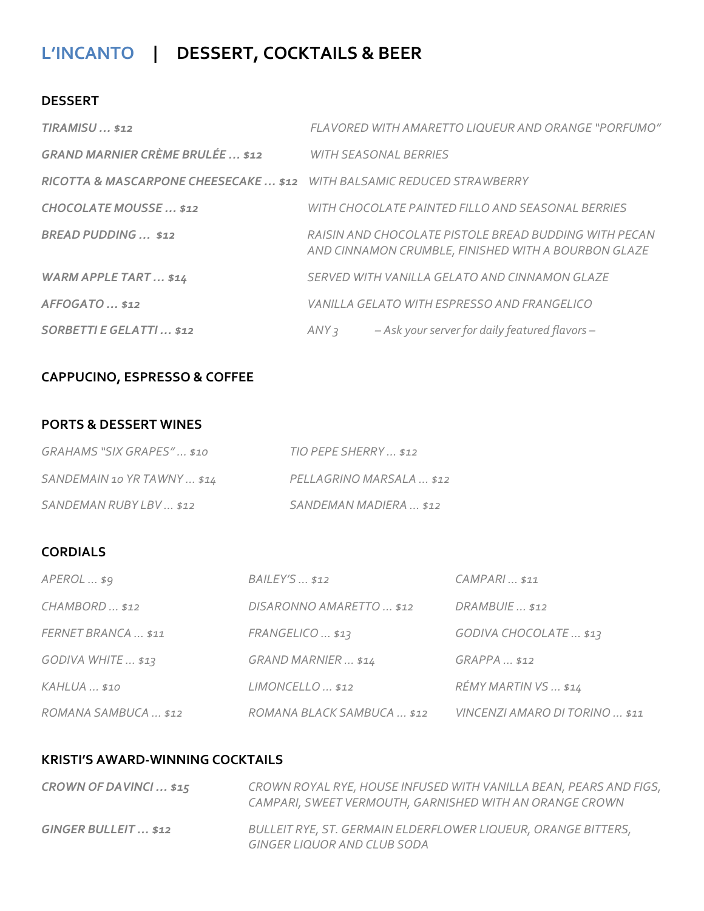## **L'INCANTO | DESSERT, COCKTAILS & BEER**

#### **DESSERT**

| $TIRAMISU$ \$12                                                        |                              | FLAVORED WITH AMARETTO LIQUEUR AND ORANGE "PORFUMO"                                                          |
|------------------------------------------------------------------------|------------------------------|--------------------------------------------------------------------------------------------------------------|
| <b>GRAND MARNIER CRÈME BRULÉE \$12</b>                                 | <b>WITH SEASONAL BERRIES</b> |                                                                                                              |
| RICOTTA & MASCARPONE CHEESECAKE  \$12 WITH BALSAMIC REDUCED STRAWBERRY |                              |                                                                                                              |
| <b>CHOCOLATE MOUSSE \$12</b>                                           |                              | WITH CHOCOLATE PAINTED FILLO AND SEASONAL BERRIES                                                            |
| <b>BREAD PUDDING</b> \$12                                              |                              | RAISIN AND CHOCOLATE PISTOLE BREAD BUDDING WITH PECAN<br>AND CINNAMON CRUMBLE, FINISHED WITH A BOURBON GLAZE |
| <b>WARM APPLE TART \$14</b>                                            |                              | SERVED WITH VANILLA GELATO AND CINNAMON GLAZE                                                                |
| AFFOGATO  \$12                                                         |                              | VANILLA GELATO WITH ESPRESSO AND FRANGELICO                                                                  |
| <b>SORBETTI E GELATTI \$12</b>                                         | ANY <sub>3</sub>             | - Ask your server for daily featured flavors -                                                               |

## **CAPPUCINO, ESPRESSO & COFFEE**

#### **PORTS & DESSERT WINES**

| GRAHAMS "SIX GRAPES" \$10   | TIO PEPE SHERRY  \$12    |
|-----------------------------|--------------------------|
| SANDEMAIN 10 YR TAWNY  \$14 | PELLAGRINO MARSALA  \$12 |
| SANDEMAN RUBY LBV  \$12     | SANDEMAN MADIERA  \$12   |

### **CORDIALS**

| $APEROL$ \$9         | <b>BAILEY'S</b> \$12       | $CAMPARI$ \$11                 |
|----------------------|----------------------------|--------------------------------|
| CHAMBORD  \$12       | DISARONNO AMARETTO  \$12   | $DRAMBUIE$ \$12                |
| FERNET BRANCA  \$11  | FRANGELICO  \$13           | GODIVA CHOCOLATE  \$13         |
| GODIVA WHITE  \$13   | GRAND MARNIER  \$14        | $GRAPPA$ \$12                  |
| KAHLUA  \$10         | $LIMONCELLO$ \$12          | RÉMY MARTIN VS  \$14           |
| ROMANA SAMBUCA  \$12 | ROMANA BLACK SAMBUCA  \$12 | VINCENZI AMARO DI TORINO  \$11 |

#### **KRISTI'S AWARD-WINNING COCKTAILS**

| CROWN OF DAVINCI \$15 | CROWN ROYAL RYE, HOUSE INFUSED WITH VANILLA BEAN, PEARS AND FIGS,<br>CAMPARI, SWEET VERMOUTH, GARNISHED WITH AN ORANGE CROWN |
|-----------------------|------------------------------------------------------------------------------------------------------------------------------|
| GINGER BULLEIT  \$12  | BULLEIT RYE, ST. GERMAIN ELDERFLOWER LIQUEUR, ORANGE BITTERS,<br>GINGER LIQUOR AND CLUB SODA                                 |